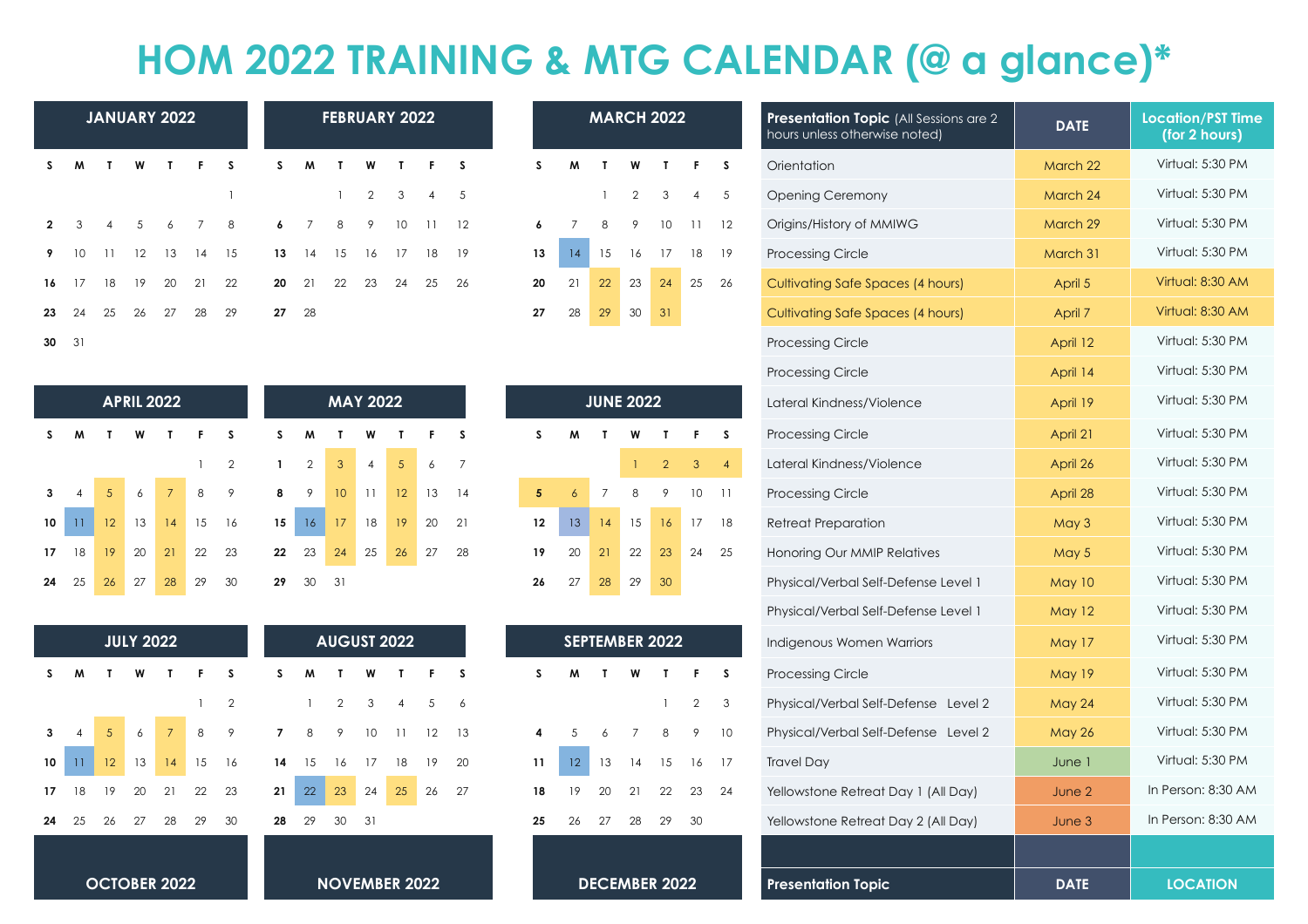## **HOM 2022 TRAINING & MTG CALENDAR (@ a glance)\***

|                |                |                |    | <b>JANUARY 2022</b> |       |    | <b>FEBRUARY 2022</b> |           |                              |                |              |                |          |  |  |
|----------------|----------------|----------------|----|---------------------|-------|----|----------------------|-----------|------------------------------|----------------|--------------|----------------|----------|--|--|
| S              | M              | $\mathbf{T}$   | W  | $\mathbf{I}$        | F.    | S  | S.                   | M         | $\langle \mathbf{T} \rangle$ | <b>W</b>       | $\mathbf{I}$ | $\blacksquare$ | <b>S</b> |  |  |
|                |                |                |    |                     |       | 1  |                      |           | 1                            | $\overline{2}$ | 3            | $\overline{4}$ | 5        |  |  |
| $\overline{2}$ | 3 <sup>1</sup> | $\overline{4}$ | 5  | 6                   | 7 8   |    | $\frac{1}{2}$        | 7         | 8                            | 9              | 10           | 11             | 12       |  |  |
| 9              | 10             | 11             | 12 | 13 14 15            |       |    |                      | $13 \t14$ | 15                           |                | 16 17        | 18 19          |          |  |  |
| 16             | 17             | 18             | 19 | 20                  | 21 22 |    | 20                   | 21        | 22                           | 23             | 24           | 25             | 26       |  |  |
| 23             | 24             | 25             | 26 | 27                  | 28    | 29 | 27 28                |           |                              |                |              |                |          |  |  |
| $\sim$         | 21             |                |    |                     |       |    |                      |           |                              |                |              |                |          |  |  |

| 27 | 28              | 29               | 30 | 31             |    |                |
|----|-----------------|------------------|----|----------------|----|----------------|
|    |                 |                  |    |                |    |                |
|    |                 |                  |    |                |    |                |
|    |                 |                  |    |                |    |                |
|    |                 | <b>JUNE 2022</b> |    |                |    |                |
| S  | M               | T                | W  | T              | F  | S              |
|    |                 |                  | 1  | $\overline{2}$ | 3  | $\overline{4}$ |
| 5  | $\ddot{\delta}$ | $\overline{7}$   | 8  | 9              | 10 | 11             |
| 12 | 13              | 14               | 15 | 16             | 17 | 18             |
| 19 | 20              | 21               | 22 | 23             | 24 | 25             |
| 26 | 27              | 28               | 29 | 30             |    |                |

|    | <b>SEPTEMBER 2022</b> |    |    |    |    |                |  |  |  |  |  |
|----|-----------------------|----|----|----|----|----------------|--|--|--|--|--|
| S  | S                     | M  | Т  | W  | Т  | F              |  |  |  |  |  |
| 6  |                       |    |    |    | 1  | $\overline{2}$ |  |  |  |  |  |
| 13 | 4                     | 5  | 6  | 7  | 8  | 9              |  |  |  |  |  |
| 20 | 11                    | 12 | 13 | 14 | 15 | 16             |  |  |  |  |  |
| 27 | 18                    | 19 | 20 | 21 | 22 | 23             |  |  |  |  |  |
|    | 25                    | 26 | 27 | 28 | 29 | 30             |  |  |  |  |  |
|    |                       |    |    |    |    |                |  |  |  |  |  |

|                |                                                                     |                 |                   | <b>JANUARY 2022</b> |                           |                |                  |                |                 | <b>FEBRUARY 2022</b> |                |                        |                |                 | <b>MARCH 2022</b> |                       |              |                |                 | <b>Presentation Topic</b> (All Sessions are 2<br>hours unless otherwise noted) | <b>DATE</b>                              | <b>Location/PST Time</b><br>(for 2 hours) |                    |
|----------------|---------------------------------------------------------------------|-----------------|-------------------|---------------------|---------------------------|----------------|------------------|----------------|-----------------|----------------------|----------------|------------------------|----------------|-----------------|-------------------|-----------------------|--------------|----------------|-----------------|--------------------------------------------------------------------------------|------------------------------------------|-------------------------------------------|--------------------|
| S              | M                                                                   | $\mathbf{r}$    | W                 |                     |                           | -S             |                  | M              |                 |                      |                |                        | S              | s               | M                 |                       | W            | T              | F               | S                                                                              | Orientation                              | March 22                                  | Virtual: 5:30 PM   |
|                |                                                                     |                 |                   |                     |                           |                |                  |                |                 | $\overline{2}$       | 3              | $\boldsymbol{\Lambda}$ | 5              |                 |                   |                       | 2            | 3              | $\overline{4}$  | 5                                                                              | <b>Opening Ceremony</b>                  | March 24                                  | Virtual: 5:30 PM   |
| $\overline{2}$ | $\mathbf{3}$                                                        | $\overline{4}$  | .5                | 6                   | 7                         | 8              | 6                | $\overline{7}$ | 8               | 9                    | 10             | 11                     | 12             | 6               |                   | 8                     | 9            | 10             | $\overline{11}$ | 12                                                                             | Origins/History of MMIWG                 | March 29                                  | Virtual: 5:30 PM   |
| 9              | 10                                                                  | -11             | 12                | 13                  | 14                        | 15             | 13               | 14             | 15              | 16                   | 17             | 18                     | 19             | 13              | $\sqrt{14}$       | 15                    | 16           | 17             | 18              | 19                                                                             | <b>Processing Circle</b>                 | March 31                                  | Virtual: 5:30 PM   |
| 16             | - 17                                                                | 18              | 19                | 20                  | 21                        | 22             | 20               | 21             | 22              | 23                   | 24             | 25                     | 26             | 20              | 21                | 22                    | 23           | 24             | 25              | 26                                                                             | <b>Cultivating Safe Spaces (4 hours)</b> | April 5                                   | Virtual: 8:30 AM   |
| 23             | 24                                                                  | 25              | 26                | 27                  | 28                        | 29             | 27               | 28             |                 |                      |                |                        |                | 27              | 28                | 29                    | $30\,$       | 31             |                 |                                                                                | Cultivating Safe Spaces (4 hours)        | April 7                                   | Virtual: 8:30 AM   |
| 30 31          |                                                                     |                 |                   |                     |                           |                |                  |                |                 |                      |                |                        |                |                 |                   |                       |              |                |                 |                                                                                | <b>Processing Circle</b>                 | April 12                                  | Virtual: 5:30 PM   |
|                |                                                                     |                 |                   |                     |                           |                |                  |                |                 |                      |                |                        |                |                 |                   |                       |              |                |                 |                                                                                | <b>Processing Circle</b>                 | April 14                                  | Virtual: 5:30 PM   |
|                |                                                                     |                 | <b>APRIL 2022</b> |                     |                           |                |                  |                |                 | <b>MAY 2022</b>      |                |                        |                |                 |                   | <b>JUNE 2022</b>      |              |                |                 |                                                                                | Lateral Kindness/Violence                | April 19                                  | Virtual: 5:30 PM   |
| S.             | M                                                                   | T               | W                 |                     |                           | -S             | s                | M              | т               | W                    | T              | F                      | S.             | S.              | M                 | $\mathbf{r}$          | W            | $\mathbf{T}$   | F.              | <sub>S</sub>                                                                   | <b>Processing Circle</b>                 | April 21                                  | Virtual: 5:30 PM   |
|                |                                                                     |                 |                   |                     |                           | $\overline{2}$ | $\mathbf{1}$     | $\overline{2}$ | 3               | $\overline{4}$       | 5              | 6                      | $\overline{7}$ |                 |                   |                       | $\mathbf{1}$ | $\overline{2}$ | $\mathbf{3}$    | $\overline{4}$                                                                 | Lateral Kindness/Violence                | April 26                                  | Virtual: 5:30 PM   |
| 3              |                                                                     |                 | 6                 | $\overline{7}$      | 8                         | 9              | 8                | 9              | 10 <sup>°</sup> | 11                   | 12             | 13                     | 14             | $5\phantom{.0}$ | $\overline{6}$    | $\overline{7}$        | 8            | 9              | 10 <sup>°</sup> | 11                                                                             | <b>Processing Circle</b>                 | April 28                                  | Virtual: 5:30 PM   |
| 10             | $ 11\rangle$                                                        | 12 <sup>°</sup> | 13                | 14                  | 15                        | 16             | 15 <sub>15</sub> | 16             | 17              | 18                   | 19             | 20                     | 21             | 12              | 13 <sup>°</sup>   | 14                    | 15           | 16             | 17              | 18                                                                             | <b>Retreat Preparation</b>               | May 3                                     | Virtual: 5:30 PM   |
| 17             | 18                                                                  | 19              | 20                | 21                  | 22                        | 23             | 22               | 23             | 24              | 25                   | 26             | 27                     | 28             | 19              | 20                | 21                    | 22           | 23             | 24              | 25                                                                             | Honoring Our MMIP Relatives              | May 5                                     | Virtual: 5:30 PM   |
| 24             | 25                                                                  | 26              | 27                | 28                  | 29                        | 30             | 29               | 30             | 31              |                      |                |                        |                | 26              | 27                | ${\bf 28}$            | 29           | 30             |                 |                                                                                | Physical/Verbal Self-Defense Level 1     | May 10                                    | Virtual: 5:30 PM   |
|                |                                                                     |                 |                   |                     |                           |                |                  |                |                 |                      |                |                        |                |                 |                   |                       |              |                |                 |                                                                                | Physical/Verbal Self-Defense Level 1     | <b>May 12</b>                             | Virtual: 5:30 PM   |
|                |                                                                     |                 | <b>JULY 2022</b>  |                     |                           |                |                  |                |                 | <b>AUGUST 2022</b>   |                |                        |                |                 |                   | <b>SEPTEMBER 2022</b> |              |                |                 |                                                                                | Indigenous Women Warriors                | May 17                                    | Virtual: 5:30 PM   |
| s              | M                                                                   |                 |                   |                     |                           | <b>S</b>       | s                |                |                 |                      |                |                        | S.             | S               | M                 | $\mathbf{r}$          | W            | T              | F               | S                                                                              | <b>Processing Circle</b>                 | <b>May 19</b>                             | Virtual: 5:30 PM   |
|                |                                                                     |                 |                   |                     |                           | 2              |                  |                | $\overline{2}$  | 3                    | $\overline{4}$ | 5                      | 6              |                 |                   |                       |              |                | $\overline{2}$  | 3                                                                              | Physical/Verbal Self-Defense Level 2     | <b>May 24</b>                             | Virtual: 5:30 PM   |
| 3              | $\overline{4}$                                                      | 5               | 6                 | $\overline{7}$      | 8                         | 9              | $\overline{7}$   | 8              | 9               | 10                   | 11             | 12                     | 13             | 4               | 5                 | 6                     | 7            | 8              | 9               | 10                                                                             | Physical/Verbal Self-Defense Level 2     | <b>May 26</b>                             | Virtual: 5:30 PM   |
| 10             | $ 11\rangle$                                                        | 12 <sup>2</sup> | 13                | 14                  | 15                        | 16             | 14               | 15             | 16              | 17                   | 18             | 19                     | 20             | 11              | 12 <sub>1</sub>   | 13                    | 14           | 15             | 16              | 17                                                                             | <b>Travel Day</b>                        | June 1                                    | Virtual: 5:30 PM   |
| 17             | - 18                                                                | 19              | 20                | 21                  | 22                        | 23             | 21               | 22             | 23              | 24                   | 25             | 26                     | 27             | 18              | 19                | 20                    | 21           | 22             | 23              | 24                                                                             | Yellowstone Retreat Day 1 (All Day)      | June 2                                    | In Person: 8:30 AM |
| <b>24</b> 25   |                                                                     | 26              | 27                | 28                  | 29                        | 30             | 28               | 29             | 30              | 31                   |                |                        |                | 25              | 26                | 27                    | 28           | 29             | 30              |                                                                                | Yellowstone Retreat Day 2 (All Day)      | June 3                                    | In Person: 8:30 AM |
|                |                                                                     |                 |                   |                     |                           |                |                  |                |                 |                      |                |                        |                |                 |                   |                       |              |                |                 |                                                                                |                                          |                                           |                    |
|                | <b>OCTOBER 2022</b><br><b>DECEMBER 2022</b><br><b>NOVEMBER 2022</b> |                 |                   |                     | <b>Presentation Topic</b> | <b>DATE</b>    | <b>LOCATION</b>  |                |                 |                      |                |                        |                |                 |                   |                       |              |                |                 |                                                                                |                                          |                                           |                    |

|    |                 |                | <b>APRIL 2022</b> | <b>MAY 2022</b> |           |                |                  |                |                |                |                |
|----|-----------------|----------------|-------------------|-----------------|-----------|----------------|------------------|----------------|----------------|----------------|----------------|
| s  | M               | Т              | W                 | T.              | $-$ F $-$ | <b>S</b>       | s                | M              | Τ              | W              | $\mathbf{I}$   |
|    |                 |                |                   |                 |           | $\overline{2}$ | $\mathbf{1}$     | $\overline{2}$ | 3 <sup>7</sup> | $\overline{4}$ | $\overline{5}$ |
| 3  | $\overline{4}$  | 5 <sup>5</sup> | 6                 | $\overline{7}$  | 8         | 9              | 8                | 9              | 10             | 11             | 12             |
| 10 | $\overline{11}$ | 12             | 13                | 14              | 15        | 16             | 15 <sub>15</sub> | 16             | 17             | 18             | 15             |
| 17 | 18              | 19             | 20                | 21              | 22        | 23             | 22               | 23             | 24             | 25             | $\mathcal{D}$  |

|    |                 |                 | <b>JULY 2022</b> |                |    | <b>AUGUST 2022</b> |                |    |                |               |                |                |  |  |
|----|-----------------|-----------------|------------------|----------------|----|--------------------|----------------|----|----------------|---------------|----------------|----------------|--|--|
| s  | W               | Т               | W                | T              | F  | S                  | S              | W  | T              | W             | Т              | F              |  |  |
|    |                 |                 |                  |                | 1  | $\overline{2}$     |                | 1  | $\overline{2}$ | 3             | $\overline{4}$ | 5              |  |  |
| 3  | 4               | 5               | 6                | $\overline{7}$ | 8  | 9                  | $\overline{7}$ | 8  | 9              | 10            | 11             | 12             |  |  |
| 10 | $\overline{11}$ | 12 <sup>7</sup> | 13               | 14             | 15 | 16                 | 14             | 15 | 16             | 17            | 18             | 19             |  |  |
| 17 | 18              | 19              | 20               | 21             | 22 | 23                 | 21             | 22 | 23             | 24            | 25             | 2 <sub>0</sub> |  |  |
| 24 | 25              | 26              | 27               | 28             | 29 | 30                 | 28             | 29 | 30             | 31            |                |                |  |  |
|    |                 |                 |                  |                |    |                    |                |    |                |               |                |                |  |  |
|    |                 |                 |                  | OCTORFR 2022   |    |                    |                |    |                | NOVEMRER 2023 |                |                |  |  |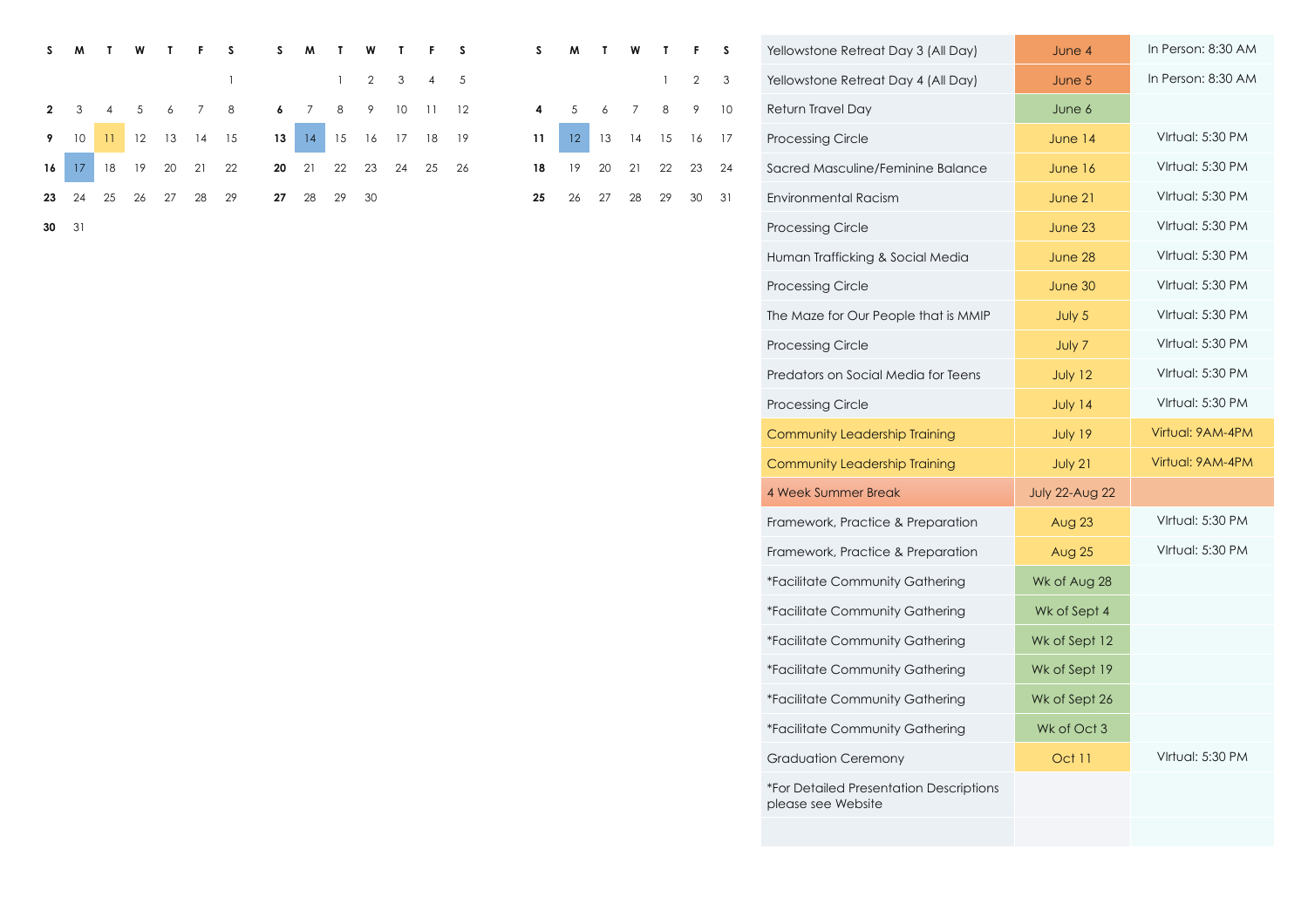| S.             | M       |    | W  |    |                     |    | M           |    | W    |     |             |     |    | M  |               | W  |             |                     |    | Yellowstone Retreat Day 3 (All Day) | June 4    | In Person: 8:30 Al |
|----------------|---------|----|----|----|---------------------|----|-------------|----|------|-----|-------------|-----|----|----|---------------|----|-------------|---------------------|----|-------------------------------------|-----------|--------------------|
|                |         |    |    |    |                     |    |             |    |      |     |             |     |    |    |               |    |             | $1 \quad 2 \quad 3$ |    | Yellowstone Retreat Day 4 (All Day) | June $5$  | In Person: 8:30 A  |
| $\overline{2}$ |         |    |    |    |                     |    |             | 8  |      | 10. |             | 12  |    |    |               |    | 8           | $\overline{9}$      | 10 | Return Travel Day                   | June 6    |                    |
|                |         |    |    |    | 9 10 11 12 13 14 15 |    | 13 14 15    |    |      |     | 16 17 18 19 |     |    |    | $12 \quad 13$ |    | 14 15 16 17 |                     |    | <b>Processing Circle</b>            | June $14$ | Virtual: 5:30 PM   |
|                | $16$ 17 | 18 |    | 20 | 21                  | 22 | 20 21 22 23 |    |      | 24  | 25          | -26 | 18 | 19 | 20            | 21 | 22          | 23                  | 24 | Sacred Masculine/Feminine Balance   | June $16$ | Virtual: 5:30 PM   |
| 23 24          |         | 25 | 26 | 27 | 28                  | 29 | 27 28       | 29 | - 30 |     |             |     | 25 | 26 | 27            | 28 | 29          | 30                  | 31 | Environmental Racism                | June 21   | Virtual: 5:30 PM   |
| $30 \quad 31$  |         |    |    |    |                     |    |             |    |      |     |             |     |    |    |               |    |             |                     |    | <b>Processing Circle</b>            | June 23   | Virtual: 5:30 PM   |

| S  | S  | M  |    | W              | Т  | F  | S  | s  |    |    | W              | т            | F              | S  | Yellowstone Retreat Day 3 (All Day)                           | June 4                | In Person: 8:30 AM |
|----|----|----|----|----------------|----|----|----|----|----|----|----------------|--------------|----------------|----|---------------------------------------------------------------|-----------------------|--------------------|
|    |    |    |    | $\overline{2}$ | 3  | 4  | 5  |    |    |    |                | $\mathbf{1}$ | $\overline{2}$ | 3  | Yellowstone Retreat Day 4 (All Day)                           | June 5                | In Person: 8:30 AM |
| 8  | 6  | 7  | 8  | 9              | 10 | 11 | 12 | 4  | 5  | 6  | $\overline{7}$ | 8            | 9              | 10 | Return Travel Day                                             | June 6                |                    |
| 15 | 13 | 4  | 15 | 16             | 17 | 18 | 19 | 11 | 12 | 13 | 14             | 15           | 16             | 17 | <b>Processing Circle</b>                                      | June 14               | Virtual: 5:30 PM   |
| 22 | 20 | 21 | 22 | 23             | 24 | 25 | 26 | 18 | 19 | 20 | 21             | 22           | 23             | 24 | Sacred Masculine/Feminine Balance                             | June 16               | Virtual: 5:30 PM   |
| 29 | 27 | 28 | 29 | 30             |    |    |    | 25 | 26 | 27 | 28             | 29           | 30             | 31 | <b>Environmental Racism</b>                                   | June 21               | Virtual: 5:30 PM   |
|    |    |    |    |                |    |    |    |    |    |    |                |              |                |    | <b>Processing Circle</b>                                      | June 23               | Virtual: 5:30 PM   |
|    |    |    |    |                |    |    |    |    |    |    |                |              |                |    | Human Trafficking & Social Media                              | June 28               | Virtual: 5:30 PM   |
|    |    |    |    |                |    |    |    |    |    |    |                |              |                |    | <b>Processing Circle</b>                                      | June 30               | Virtual: 5:30 PM   |
|    |    |    |    |                |    |    |    |    |    |    |                |              |                |    | The Maze for Our People that is MMIP                          | July 5                | Virtual: 5:30 PM   |
|    |    |    |    |                |    |    |    |    |    |    |                |              |                |    | <b>Processing Circle</b>                                      | July 7                | Virtual: 5:30 PM   |
|    |    |    |    |                |    |    |    |    |    |    |                |              |                |    | Predators on Social Media for Teens                           | July 12               | Virtual: 5:30 PM   |
|    |    |    |    |                |    |    |    |    |    |    |                |              |                |    | <b>Processing Circle</b>                                      | July 14               | Virtual: 5:30 PM   |
|    |    |    |    |                |    |    |    |    |    |    |                |              |                |    | Community Leadership Training                                 | July 19               | Virtual: 9AM-4PM   |
|    |    |    |    |                |    |    |    |    |    |    |                |              |                |    | Community Leadership Training                                 | July 21               | Virtual: 9AM-4PM   |
|    |    |    |    |                |    |    |    |    |    |    |                |              |                |    | 4 Week Summer Break                                           | <b>July 22-Aug 22</b> |                    |
|    |    |    |    |                |    |    |    |    |    |    |                |              |                |    | Framework, Practice & Preparation                             | Aug 23                | Virtual: 5:30 PM   |
|    |    |    |    |                |    |    |    |    |    |    |                |              |                |    | Framework, Practice & Preparation                             | <b>Aug 25</b>         | Virtual: 5:30 PM   |
|    |    |    |    |                |    |    |    |    |    |    |                |              |                |    | *Facilitate Community Gathering                               | Wk of Aug 28          |                    |
|    |    |    |    |                |    |    |    |    |    |    |                |              |                |    | *Facilitate Community Gathering                               | Wk of Sept 4          |                    |
|    |    |    |    |                |    |    |    |    |    |    |                |              |                |    | *Facilitate Community Gathering                               | Wk of Sept 12         |                    |
|    |    |    |    |                |    |    |    |    |    |    |                |              |                |    | *Facilitate Community Gathering                               | Wk of Sept 19         |                    |
|    |    |    |    |                |    |    |    |    |    |    |                |              |                |    | *Facilitate Community Gathering                               | Wk of Sept 26         |                    |
|    |    |    |    |                |    |    |    |    |    |    |                |              |                |    | *Facilitate Community Gathering                               | Wk of Oct 3           |                    |
|    |    |    |    |                |    |    |    |    |    |    |                |              |                |    | <b>Graduation Ceremony</b>                                    | Oct 11                | Virtual: 5:30 PM   |
|    |    |    |    |                |    |    |    |    |    |    |                |              |                |    | *For Detailed Presentation Descriptions<br>please see Website |                       |                    |
|    |    |    |    |                |    |    |    |    |    |    |                |              |                |    |                                                               |                       |                    |